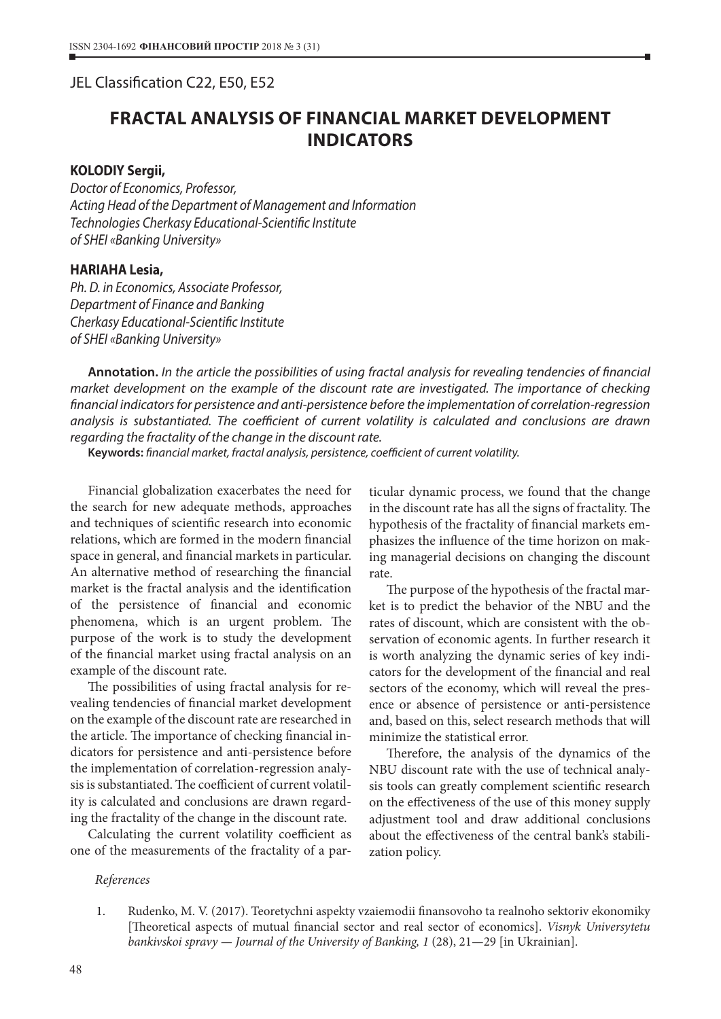## JEL Classification С22, Е50, Е52

# **FRACTAL ANALYSIS OF FINANCIAL MARKET DEVELOPMENT INDICATORS**

### **KOLODIY Sergii,**

*Doctor of Economics, Professor, Acting Head of the Department of Management and Information Technologies Cherkasy Educational-Scientific Institute of SHEI «Banking University»*

### **HARIAHA Lesia,**

*Ph. D. in Economics, Associate Professor, Department of Finance and Banking Cherkasy Educational-Scientific Institute of SHEI «Banking University»*

**Annotation.** *In the article the possibilities of using fractal analysis for revealing tendencies of financial market development on the example of the discount rate are investigated. The importance of checking financial indicators for persistence and anti-persistence before the implementation of correlation-regression analysis is substantiated. The coefficient of current volatility is calculated and conclusions are drawn regarding the fractality of the change in the discount rate.*

**Keywords:** *financial market, fractal analysis, persistence, coefficient of current volatility.*

Financial globalization exacerbates the need for the search for new adequate methods, approaches and techniques of scientific research into economic relations, which are formed in the modern financial space in general, and financial markets in particular. An alternative method of researching the financial market is the fractal analysis and the identification of the persistence of financial and economic phenomena, which is an urgent problem. The purpose of the work is to study the development of the financial market using fractal analysis on an example of the discount rate.

The possibilities of using fractal analysis for revealing tendencies of financial market development on the example of the discount rate are researched in the article. The importance of checking financial indicators for persistence and anti-persistence before the implementation of correlation-regression analysis is substantiated. The coefficient of current volatility is calculated and conclusions are drawn regarding the fractality of the change in the discount rate.

Calculating the current volatility coefficient as one of the measurements of the fractality of a par-

ticular dynamic process, we found that the change in the discount rate has all the signs of fractality. The hypothesis of the fractality of financial markets emphasizes the influence of the time horizon on making managerial decisions on changing the discount rate.

The purpose of the hypothesis of the fractal market is to predict the behavior of the NBU and the rates of discount, which are consistent with the observation of economic agents. In further research it is worth analyzing the dynamic series of key indicators for the development of the financial and real sectors of the economy, which will reveal the presence or absence of persistence or anti-persistence and, based on this, select research methods that will minimize the statistical error.

Therefore, the analysis of the dynamics of the NBU discount rate with the use of technical analysis tools can greatly complement scientific research on the effectiveness of the use of this money supply adjustment tool and draw additional conclusions about the effectiveness of the central bank's stabilization policy.

#### *References*

1. Rudenko, M. V. (2017). Teoretychni aspekty vzaiemodii finansovoho ta realnoho sektoriv ekonomiky [Theoretical aspects of mutual financial sector and real sector of economics]. *Visnyk Universytetu bankivskoi spravy — Journal of the University of Banking, 1* (28), 21—29 [in Ukrainian].